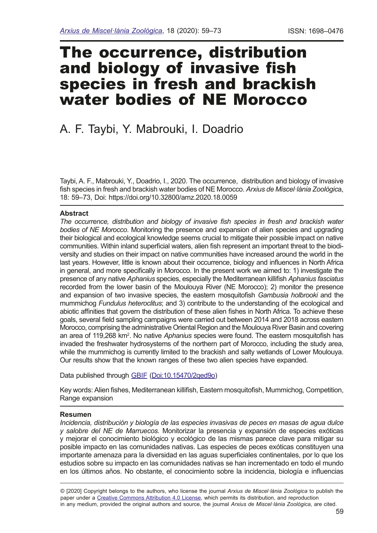# The occurrence, distribution and biology of invasive fish species in fresh and brackish water bodies of NE Morocco

# A. F. Taybi, Y. Mabrouki, I. Doadrio

Taybi, A. F., Mabrouki, Y., Doadrio, I., 2020. The occurrence, distribution and biology of invasive fsh species in fresh and brackish water bodies of NE Morocco. *Arxius de Miscel·lània Zoològic*a, 18: 59–73, Doi: https://doi.org/10.32800/amz.2020.18.0059

## **Abstract**

*The occurrence, distribution and biology of invasive fsh species in fresh and brackish water bodies of NE Morocco*. Monitoring the presence and expansion of alien species and upgrading their biological and ecological knowledge seems crucial to mitigate their possible impact on native communities. Within inland superficial waters, alien fish represent an important threat to the biodiversity and studies on their impact on native communities have increased around the world in the last years. However, little is known about their occurrence, biology and infuences in North Africa in general, and more specifcally in Morocco. In the present work we aimed to: 1) investigate the presence of any native *Aphanius* species, especially the Mediterranean killifsh *Aphanius fasciatus* recorded from the lower basin of the Moulouya River (NE Morocco); 2) monitor the presence and expansion of two invasive species, the eastern mosquitofsh *Gambusia holbrooki* and the mummichog *Fundulus heteroclitus*; and 3) contribute to the understanding of the ecological and abiotic affnities that govern the distribution of these alien fshes in North Africa. To achieve these goals, several feld sampling campaigns were carried out between 2014 and 2018 across eastern Morocco, comprising the administrative Oriental Region and the Moulouya River Basin and covering an area of 119,268 km<sup>2</sup>. No native *Aphanius* species were found. The eastern mosquitofish has invaded the freshwater hydrosystems of the northern part of Morocco, including the study area, while the mummichog is currently limited to the brackish and salty wetlands of Lower Moulouya. Our results show that the known ranges of these two alien species have expanded.

Data published through [GBIF](https://colecciones.gbif.es/public/show/co141?lang=ca) [\(Doi:10.15470/2qed9o\)](https://www.gbif.org/dataset/55347db9-46a3-449d-8e55-ba6ed02e4820#citation)

Key words: Alien fishes, Mediterranean killifish, Eastern mosquitofish, Mummichog, Competition, Range expansion

## **Resumen**

*Incidencia, distribución y biología de las especies invasivas de peces en masas de agua dulce y salobre del NE de Marruecos.* Monitorizar la presencia y expansión de especies exóticas y mejorar el conocimiento biológico y ecológico de las mismas parece clave para mitigar su posible impacto en las comunidades nativas. Las especies de peces exóticas constituyen una importante amenaza para la diversidad en las aguas superfciales continentales, por lo que los estudios sobre su impacto en las comunidades nativas se han incrementado en todo el mundo en los últimos años. No obstante, el conocimiento sobre la incidencia, biología e infuencias

© [2020] Copyright belongs to the authors, who license the journal *Arxius de Miscel·lània Zoològica* to publish the paper under a [Creative Commons Attribution 4.0 License,](http://creativecommons.org/licenses/by/4.0/deed.en) which permits its distribution, and reproduction in any medium, provided the original authors and source, the journal *Arxius de Miscel·lània Zoològica*, are cited.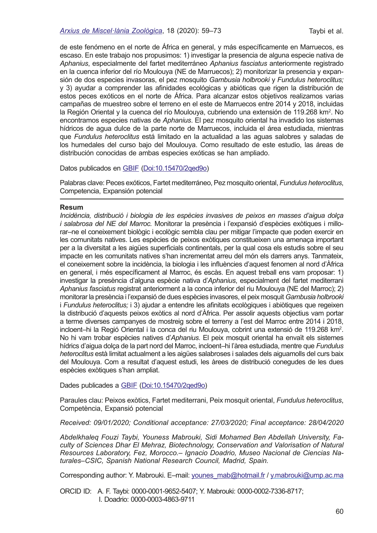#### *[Arxius de Miscel·lània Zoològica](http://amz.museucienciesjournals.cat)*, 18 (2020): 59–73 Taybi et al.

de este fenómeno en el norte de África en general, y más específcamente en Marruecos, es escaso. En este trabajo nos propusimos: 1) investigar la presencia de alguna especie nativa de *Aphanius*, especialmente del fartet mediterráneo *Aphanius fasciatus* anteriormente registrado en la cuenca inferior del río Moulouya (NE de Marruecos); 2) monitorizar la presencia y expansión de dos especies invasoras, el pez mosquito *Gambusia holbrooki* y *Fundulus heteroclitus;*  y 3) ayudar a comprender las afnidades ecológicas y abióticas que rigen la distribución de estos peces exóticos en el norte de África. Para alcanzar estos objetivos realizamos varias campañas de muestreo sobre el terreno en el este de Marruecos entre 2014 y 2018, incluidas la Región Oriental y la cuenca del río Moulouya, cubriendo una extensión de 119.268 km². No encontramos especies nativas de *Aphanius*. El pez mosquito oriental ha invadido los sistemas hídricos de agua dulce de la parte norte de Marruecos, incluida el área estudiada, mientras que *Fundulus heteroclitus* está limitado en la actualidad a las aguas salobres y saladas de los humedales del curso bajo del Moulouya. Como resultado de este estudio, las áreas de distribución conocidas de ambas especies exóticas se han ampliado.

Datos publicados en [GBIF](https://colecciones.gbif.es/public/show/co141?lang=ca) [\(Doi:10.15470/2qed9o](https://www.gbif.org/dataset/55347db9-46a3-449d-8e55-ba6ed02e4820#citation))

Palabras clave: Peces exóticos, Fartet mediterráneo, Pez mosquito oriental, *Fundulus heteroclitus*, Competencia, Expansión potencial

#### **Resum**

*Incidència, distribució i biologia de les espècies invasives de peixos en masses d'aigua dolça i salabrosa del NE del Marroc.* Monitorar la presència i l'expansió d'espècies exòtiques i millorar–ne el coneixement biològic i ecològic sembla clau per mitigar l'impacte que poden exercir en les comunitats natives. Les espècies de peixos exòtiques constitueixen una amenaça important per a la diversitat a les aigües superficials continentals, per la qual cosa els estudis sobre el seu impacte en les comunitats natives s'han incrementat arreu del món els darrers anys. Tanmateix, el coneixement sobre la incidència, la biologia i les infuències d'aquest fenomen al nord d'Àfrica en general, i més específcament al Marroc, és escàs. En aquest treball ens vam proposar: 1) investigar la presència d'alguna espècie nativa d'*Aphanius*, especialment del fartet mediterrani *Aphanius fasciatus* registrat anteriorment a la conca inferior del riu Moulouya (NE del Marroc); 2) monitorar la presència i l'expansió de dues espècies invasores, el peix mosquit *Gambusia holbrooki* i *Fundulus heteroclitus;* i 3) ajudar a entendre les afnitats ecològiques i abiòtiques que regeixen la distribució d'aquests peixos exòtics al nord d'Àfrica. Per assolir aquests objectius vam portar a terme diverses campanyes de mostreig sobre el terreny a l'est del Marroc entre 2014 i 2018, incloent–hi la Regió Oriental i la conca del riu Moulouya, cobrint una extensió de 119.268 km2 . No hi vam trobar espècies natives d'*Aphanius*. El peix mosquit oriental ha envaït els sistemes hídrics d'aigua dolça de la part nord del Marroc, incloent–hi l'àrea estudiada, mentre que *Fundulus heteroclitus* està limitat actualment a les aigües salabroses i salades dels aiguamolls del curs baix del Moulouya. Com a resultat d'aquest estudi, les àrees de distribució conegudes de les dues espècies exòtiques s'han ampliat.

Dades publicades a [GBIF](https://colecciones.gbif.es/public/show/co141?lang=ca) [\(Doi:10.15470/2qed9o](https://www.gbif.org/dataset/55347db9-46a3-449d-8e55-ba6ed02e4820#citation))

Paraules clau: Peixos exòtics, Fartet mediterrani, Peix mosquit oriental, *Fundulus heteroclitus*, Competència, Expansió potencial

*Received: 09/01/2020; Conditional acceptance: 27/03/2020; Final acceptance: 28/04/2020*

*Abdelkhaleq Fouzi Taybi, Youness Mabrouki, Sidi Mohamed Ben Abdellah University, Faculty of Sciences Dhar El Mehraz, Biotechnology, Conservation and Valorisation of Natural Resources Laboratory, Fez, Morocco.*– *Ignacio Doadrio, Museo Nacional de Ciencias Naturales–CSIC, Spanish National Research Council, Madrid, Spain.* 

Corresponding author: Y. Mabrouki. E-mail: younes\_mab@hotmail.fr / [y.mabrouki@ump.ac.ma](mailto:y.mabrouki@ump.ac.ma)

ORCID ID: A. F. Taybi: 0000-0001-9652-5407; Y. Mabrouki: 0000-0002-7336-8717; I. Doadrio: 0000-0003-4863-9711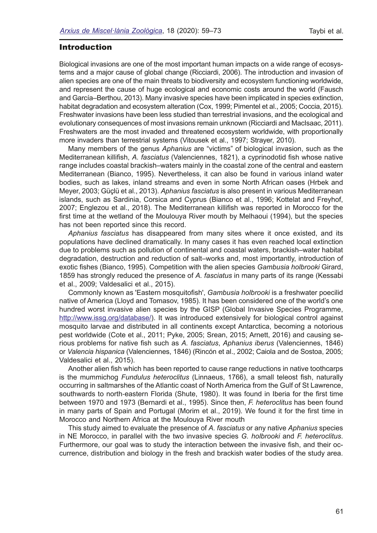# Introduction

Biological invasions are one of the most important human impacts on a wide range of ecosystems and a major cause of global change (Ricciardi, 2006). The introduction and invasion of alien species are one of the main threats to biodiversity and ecosystem functioning worldwide, and represent the cause of huge ecological and economic costs around the world (Fausch and García–Berthou, 2013). Many invasive species have been implicated in species extinction, habitat degradation and ecosystem alteration (Cox, 1999; Pimentel et al., 2005; Coccia, 2015). Freshwater invasions have been less studied than terrestrial invasions, and the ecological and evolutionary consequences of most invasions remain unknown (Ricciardi and MacIsaac, 2011). Freshwaters are the most invaded and threatened ecosystem worldwide, with proportionally more invaders than terrestrial systems (Vitousek et al., 1997; Strayer, 2010).

Many members of the genus *Aphanius* are "victims" of biological invasion, such as the Mediterranean killifsh, *A. fasciatus* (Valenciennes, 1821), a cyprinodotid fsh whose native range includes coastal brackish–waters mainly in the coastal zone of the central and eastern Mediterranean (Bianco, 1995). Nevertheless, it can also be found in various inland water bodies, such as lakes, inland streams and even in some North African oases (Hrbek and Meyer, 2003; Güçlü et al., 2013). *Aphanius fasciatus* is also present in various Mediterranean islands, such as Sardinia, Corsica and Cyprus (Bianco et al., 1996; Kottelat and Freyhof, 2007; Englezou et al., 2018). The Mediterranean killifsh was reported in Morocco for the frst time at the wetland of the Moulouya River mouth by Melhaoui (1994), but the species has not been reported since this record.

*Aphanius fasciatus* has disappeared from many sites where it once existed, and its populations have declined dramatically. In many cases it has even reached local extinction due to problems such as pollution of continental and coastal waters, brackish–water habitat degradation, destruction and reduction of salt–works and, most importantly, introduction of exotic fshes (Bianco, 1995). Competition with the alien species *Gambusia holbrooki* Girard, 1859 has strongly reduced the presence of *A. fasciatus* in many parts of its range (Kessabi et al., 2009; Valdesalici et al., 2015).

Commonly known as 'Eastern mosquitofsh', *Gambusia holbrooki* is a freshwater poecilid native of America (Lloyd and Tomasov, 1985). It has been considered one of the world's one hundred worst invasive alien species by the GISP (Global Invasive Species Programme, <http://www.issg.org/database/>). It was introduced extensively for biological control against mosquito larvae and distributed in all continents except Antarctica, becoming a notorious pest worldwide (Cote et al., 2011; Pyke, 2005; Srean, 2015; Arnett, 2016) and causing serious problems for native fsh such as *A. fasciatus*, *Aphanius iberus* (Valenciennes, 1846) or *Valencia hispanica* (Valenciennes, 1846) (Rincón et al., 2002; Caiola and de Sostoa, 2005; Valdesalici et al., 2015).

Another alien fsh which has been reported to cause range reductions in native toothcarps is the mummichog Fundulus heteroclitus (Linnaeus, 1766), a small teleost fish, naturally occurring in saltmarshes of the Atlantic coast of North America from the Gulf of St Lawrence, southwards to north-eastern Florida (Shute, 1980). It was found in Iberia for the first time between 1970 and 1973 (Bernardi et al., 1995). Since then, *F. heteroclitus* has been found in many parts of Spain and Portugal (Morim et al., 2019). We found it for the frst time in Morocco and Northern Africa at the Moulouya River mouth

This study aimed to evaluate the presence of *A. fasciatus* or any native *Aphanius* species in NE Morocco, in parallel with the two invasive species *G. holbrooki* and *F. heteroclitus*. Furthermore, our goal was to study the interaction between the invasive fsh, and their occurrence, distribution and biology in the fresh and brackish water bodies of the study area.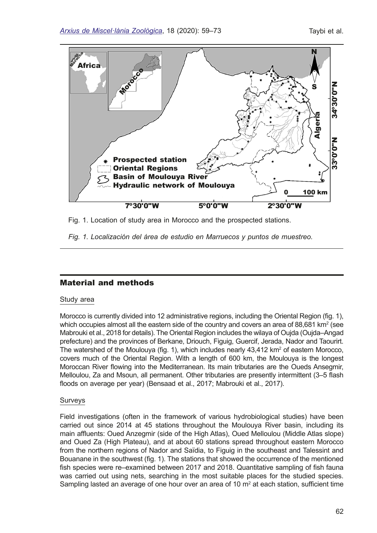

Fig. 1. Location of study area in Morocco and the prospected stations.

*Fig. 1. Localización del área de estudio en Marruecos y puntos de muestreo.*

# Material and methods

## Study area

Morocco is currently divided into 12 administrative regions, including the Oriental Region (fg. 1), which occupies almost all the eastern side of the country and covers an area of 88,681 km² (see Mabrouki et al., 2018 for details). The Oriental Region includes the wilaya of Oujda (Oujda–Angad prefecture) and the provinces of Berkane, Driouch, Figuig, Guercif, Jerada, Nador and Taourirt. The watershed of the Moulouya (fig. 1), which includes nearly 43,412 km<sup>2</sup> of eastern Morocco, covers much of the Oriental Region. With a length of 600 km, the Moulouya is the longest Moroccan River fowing into the Mediterranean. Its main tributaries are the Oueds Ansegmir, Melloulou, Za and Msoun, all permanent. Other tributaries are presently intermittent (3–5 fash foods on average per year) (Bensaad et al., 2017; Mabrouki et al., 2017).

## Surveys

Field investigations (often in the framework of various hydrobiological studies) have been carried out since 2014 at 45 stations throughout the Moulouya River basin, including its main affuents: Oued Anzegmir (side of the High Atlas), Oued Melloulou (Middle Atlas slope) and Oued Za (High Plateau), and at about 60 stations spread throughout eastern Morocco from the northern regions of Nador and Saïdia, to Figuig in the southeast and Talessint and Bouanane in the southwest (fg. 1). The stations that showed the occurrence of the mentioned fish species were re–examined between 2017 and 2018. Quantitative sampling of fish fauna was carried out using nets, searching in the most suitable places for the studied species. Sampling lasted an average of one hour over an area of 10  $\text{m}^2$  at each station, sufficient time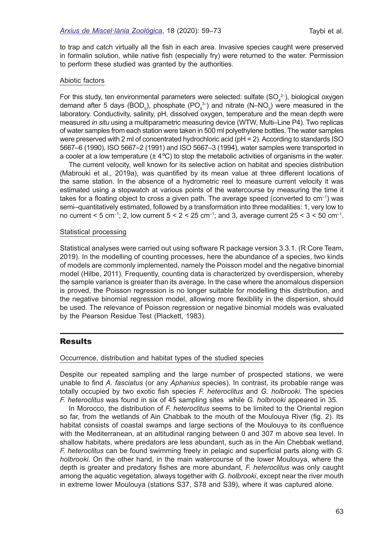to trap and catch virtually all the fish in each area. Invasive species caught were preserved in formalin solution, while native fish (especially fry) were returned to the water. Permission to perform these studied was granted by the authorities.

#### Abiotic factors

For this study, ten environmental parameters were selected: sulfate  $(SO_4^2)$ , biological oxygen demand after 5 days (BOD<sub>5</sub>), phosphate (PO<sub>4</sub><sup>3</sup>) and nitrate (N–NO<sub>3</sub>) were measured in the laboratory. Conductivity, salinity, pH, dissolved oxygen, temperature and the mean depth were measured *in situ* using a multiparametric measuring device (WTW, Multi–Line P4). Two replicas of water samples from each station were taken in 500 ml polyethylene bottles. The water samples were preserved with 2 ml of concentrated hydrochloric acid (pH = 2). According to standards ISO 5667–6 (1990), ISO 5667–2 (1991) and ISO 5667–3 (1994), water samples were transported in a cooler at a low temperature  $(\pm 4^{\circ}C)$  to stop the metabolic activities of organisms in the water.

The current velocity, well known for its selective action on habitat and species distribution (Mabrouki et al.*,* 2019a), was quantifed by its mean value at three different locations of the same station. In the absence of a hydrometric reel to measure current velocity it was estimated using a stopwatch at various points of the watercourse by measuring the time it takes for a floating object to cross a given path. The average speed (converted to  $cm^{-1}$ ) was semi–quantitatively estimated, followed by a transformation into three modalities: 1, very low to no current  $<$  5 cm<sup>-1</sup>; 2, low current  $5$   $<$  2  $<$  25 cm<sup>-1</sup>; and 3, average current 25  $<$  3  $<$  50 cm<sup>-1</sup>.

### Statistical processing

Statistical analyses were carried out using software R package version 3.3.1. (R Core Team, 2019). In the modelling of counting processes, here the abundance of a species, two kinds of models are commonly implemented, namely the Poisson model and the negative binomial model (Hilbe, 2011). Frequently, counting data is characterized by overdispersion, whereby the sample variance is greater than its average. In the case where the anomalous dispersion is proved, the Poisson regression is no longer suitable for modelling this distribution, and the negative binomial regression model, allowing more fexibility in the dispersion, should be used. The relevance of Poisson regression or negative binomial models was evaluated by the Pearson Residue Test (Plackett, 1983).

## Results

#### Occurrence, distribution and habitat types of the studied species

Despite our repeated sampling and the large number of prospected stations, we were unable to fnd *A. fasciatus* (or any *Aphanius* species). In contrast, its probable range was totally occupied by two exotic fsh species *F. heteroclitus* and *G. holbrooki*. The species *F. heteroclitus* was found in six of 45 sampling sites while *G. holbrooki* appeared in 35.

In Morocco, the distribution of *F. heteroclitus* seems to be limited to the Oriental region so far, from the wetlands of Ain Chabbak to the mouth of the Moulouya River (fig. 2). Its habitat consists of coastal swamps and large sections of the Moulouya to its confuence with the Mediterranean, at an altitudinal ranging between 0 and 307 m above sea level. In shallow habitats, where predators are less abundant, such as in the Ain Chebbak wetland, *F. heteroclitus* can be found swimming freely in pelagic and superfcial parts along with *G. holbrooki*. On the other hand, in the main watercourse of the lower Moulouya, where the depth is greater and predatory fshes are more abundant, *F. heteroclitus* was only caught among the aquatic vegetation, always together with *G. holbrooki*, except near the river mouth in extreme lower Moulouya (stations S37, S78 and S39), where it was captured alone.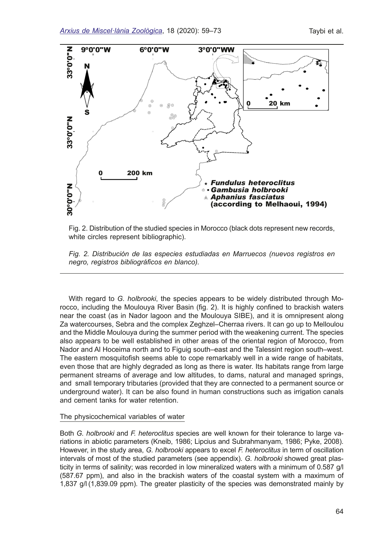

Fig. 2. Distribution of the studied species in Morocco (black dots represent new records, white circles represent bibliographic).

*Fig. 2. Distribución de las especies estudiadas en Marruecos (nuevos registros en negro, registros bibliográfcos en blanco).*

With regard to *G. holbrooki*, the species appears to be widely distributed through Morocco, including the Moulouya River Basin (fg. 2). It is highly confned to brackish waters near the coast (as in Nador lagoon and the Moulouya SIBE), and it is omnipresent along Za watercourses, Sebra and the complex Zeghzel–Cherraa rivers. It can go up to Melloulou and the Middle Moulouya during the summer period with the weakening current. The species also appears to be well established in other areas of the oriental region of Morocco, from Nador and Al Hoceima north and to Figuig south–east and the Talessint region south–west. The eastern mosquitofsh seems able to cope remarkably well in a wide range of habitats, even those that are highly degraded as long as there is water. Its habitats range from large permanent streams of average and low altitudes, to dams, natural and managed springs, and small temporary tributaries (provided that they are connected to a permanent source or underground water). It can be also found in human constructions such as irrigation canals and cement tanks for water retention.

#### The physicochemical variables of water

Both *G. holbrooki* and *F. heteroclitus* species are well known for their tolerance to large variations in abiotic parameters (Kneib, 1986; Lipcius and Subrahmanyam, 1986; Pyke, 2008). However, in the study area, *G. holbrooki* appears to excel *F. heteroclitus* in term of oscillation intervals of most of the studied parameters (see appendix). *G. holbrooki* showed great plasticity in terms of salinity; was recorded in low mineralized waters with a minimum of 0.587 g/l (587.67 ppm), and also in the brackish waters of the coastal system with a maximum of 1,837 g/l (1,839.09 ppm). The greater plasticity of the species was demonstrated mainly by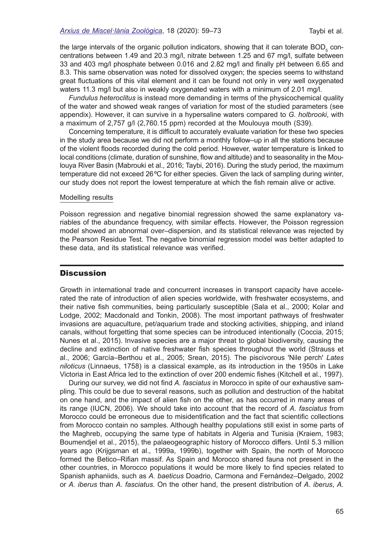the large intervals of the organic pollution indicators, showing that it can tolerate  $\mathsf{BOD}_5$  concentrations between 1.49 and 20.3 mg/l, nitrate between 1.25 and 67 mg/l, sulfate between 33 and 403 mg/l phosphate between 0.016 and 2.82 mg/l and fnally pH between 6.65 and 8.3. This same observation was noted for dissolved oxygen; the species seems to withstand great fuctuations of this vital element and it can be found not only in very well oxygenated waters 11.3 mg/l but also in weakly oxygenated waters with a minimum of 2.01 mg/l.

*Fundulus heteroclitus* is instead more demanding in terms of the physicochemical quality of the water and showed weak ranges of variation for most of the studied parameters (see appendix). However, it can survive in a hypersaline waters compared to *G. holbrooki*, with a maximum of 2,757 g/l (2,760.15 ppm) recorded at the Moulouya mouth (S39).

Concerning temperature, it is difficult to accurately evaluate variation for these two species in the study area because we did not perform a monthly follow–up in all the stations because of the violent foods recorded during the cold period. However, water temperature is linked to local conditions (climate, duration of sunshine, flow and altitude) and to seasonality in the Moulouya River Basin (Mabrouki et al., 2016; Taybi, 2016). During the study period, the maximum temperature did not exceed 26ºC for either species. Given the lack of sampling during winter, our study does not report the lowest temperature at which the fsh remain alive or active.

#### Modelling results

Poisson regression and negative binomial regression showed the same explanatory variables of the abundance frequency, with similar effects. However, the Poisson regression model showed an abnormal over–dispersion, and its statistical relevance was rejected by the Pearson Residue Test. The negative binomial regression model was better adapted to these data, and its statistical relevance was verifed.

# **Discussion**

Growth in international trade and concurrent increases in transport capacity have accelerated the rate of introduction of alien species worldwide, with freshwater ecosystems, and their native fsh communities, being particularly susceptible (Sala et al., 2000; Kolar and Lodge, 2002; Macdonald and Tonkin, 2008). The most important pathways of freshwater invasions are aquaculture, pet/aquarium trade and stocking activities, shipping, and inland canals, without forgetting that some species can be introduced intentionally (Coccia, 2015; Nunes et al., 2015). Invasive species are a major threat to global biodiversity, causing the decline and extinction of native freshwater fsh species throughout the world (Strauss et al., 2006; García–Berthou et al., 2005; Srean, 2015). The piscivorous 'Nile perch' *Lates niloticus* (Linnaeus, 1758) is a classical example, as its introduction in the 1950s in Lake Victoria in East Africa led to the extinction of over 200 endemic fshes (Kitchell et al., 1997).

During our survey, we did not fnd *A. fasciatus* in Morocco in spite of our exhaustive sampling. This could be due to several reasons, such as pollution and destruction of the habitat on one hand, and the impact of alien fsh on the other, as has occurred in many areas of its range (IUCN, 2006). We should take into account that the record of *A. fasciatus* from Morocco could be erroneous due to misidentifcation and the fact that scientifc collections from Morocco contain no samples. Although healthy populations still exist in some parts of the Maghreb, occupying the same type of habitats in Algeria and Tunisia (Kraiem, 1983; Boumendjel et al., 2015), the palaeogeographic history of Morocco differs. Until 5.3 million years ago (Krijgsman et al.*,* 1999a, 1999b), together with Spain, the north of Morocco formed the Betico–Rifan massif. As Spain and Morocco shared fauna not present in the other countries, in Morocco populations it would be more likely to fnd species related to Spanish aphaniids, such as *A. baeticus* Doadrio, Carmona and Fernández–Delgado, 2002 or *A. iberus* than *A. fasciatus*. On the other hand, the present distribution of *A. iberus*, *A.*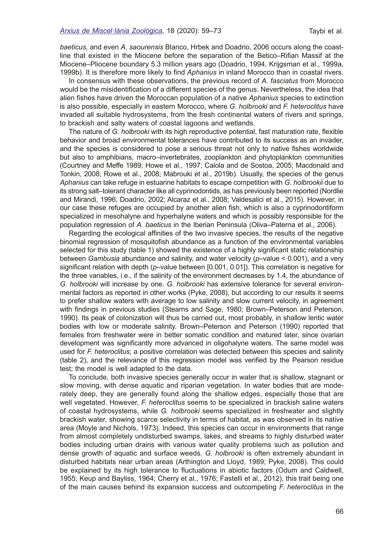*baeticus,* and even *A. saourensis* Blanco, Hrbek and Doadrio, 2006 occurs along the coastline that existed in the Miocene before the separation of the Betico–Rifan Massif at the Miocene–Pliocene boundary 5.3 million years ago (Doadrio, 1994, Krijgsman et al., 1999a, 1999b). It is therefore more likely to fnd *Aphanius* in inland Morocco than in coastal rivers.

In consensus with these observations, the previous record of *A. fasciatus* from Morocco would be the misidentifcation of a different species of the genus. Nevertheless, the idea that alien fshes have driven the Moroccan population of a native *Aphanius* species to extinction is also possible, especially in eastern Morocco, where *G. holbrooki* and *F. heteroclitus* have invaded all suitable hydrosystems, from the fresh continental waters of rivers and springs, to brackish and salty waters of coastal lagoons and wetlands.

The nature of *G. holbrooki* with its high reproductive potential, fast maturation rate, fexible behavior and broad environmental tolerances have contributed to its success as an invader, and the species is considered to pose a serious threat not only to native fshes worldwide but also to amphibians, macro–invertebrates, zooplankton and phytoplankton communities (Courtney and Meffe 1989; Howe et al., 1997; Caiola and de Sostoa, 2005; Macdonald and Tonkin, 2008; Rowe et al., 2008; Mabrouki et al., 2019b). Usually, the species of the genus *Aphanius* can take refuge in estuarine habitats to escape competition with *G. holbrookii* due to its strong salt–tolerant character like all cyprinodontids, as has previously been reported (Nordlie and Mirandi, 1996; Doadrio, 2002; Alcaraz et al., 2008; Valdesalici et al., 2015). However, in our case these refuges are occupied by another alien fsh, which is also a cyprinodontiform specialized in mesohalyne and hyperhalyne waters and which is possibly responsible for the population regression of *A. baeticus* in the Iberian Peninsula (Oliva–Paterna et al., 2006).

Regarding the ecological affnities of the two invasive species, the results of the negative binomial regression of mosquitofsh abundance as a function of the environmental variables selected for this study (table 1) showed the existence of a highly signifcant static relationship between *Gambusia* abundance and salinity, and water velocity (*p*–value < 0.001), and a very signifcant relation with depth (*p*–value between [0.001, 0.01]). This correlation is negative for the three variables, i.e., if the salinity of the environment decreases by 1.4, the abundance of *G. holbrooki* will increase by one. *G. holbrooki* has extensive tolerance for several environmental factors as reported in other works (Pyke, 2008), but according to our results it seems to prefer shallow waters with average to low salinity and slow current velocity, in agreement with fndings in previous studies (Stearns and Sage, 1980; Brown–Peterson and Peterson, 1990). Its peak of colonization will thus be carried out, most probably, in shallow lentic water bodies with low or moderate salinity. Brown–Peterson and Peterson (1990) reported that females from freshwater were in better somatic condition and matured later, since ovarian development was signifcantly more advanced in oligohalyne waters. The same model was used for *F. heteroclitus*; a positive correlation was detected between this species and salinity (table 2), and the relevance of this regression model was verifed by the Pearson residue test; the model is well adapted to the data.

To conclude, both invasive species generally occur in water that is shallow, stagnant or slow moving, with dense aquatic and riparian vegetation. In water bodies that are moderately deep, they are generally found along the shallow edges, especially those that are well vegetated. However, *F. heteroclitus* seems to be specialized in brackish saline waters of coastal hydrosystems, while *G. holbrooki* seems specialized in freshwater and slightly brackish water, showing scarce selectivity in terms of habitat, as was observed in its native area (Moyle and Nichols, 1973). Indeed, this species can occur in environments that range from almost completely undisturbed swamps, lakes, and streams to highly disturbed water bodies including urban drains with various water quality problems such as pollution and dense growth of aquatic and surface weeds. *G. holbrooki* is often extremely abundant in disturbed habitats near urban areas (Arthington and Lloyd, 1989; Pyke, 2008). This could be explained by its high tolerance to fuctuations in abiotic factors (Odum and Caldwell, 1955; Keup and Bayliss, 1964; Cherry et al., 1976; Fastelli et al., 2012), this trait being one of the main causes behind its expansion success and outcompeting *F. heteroclitus* in the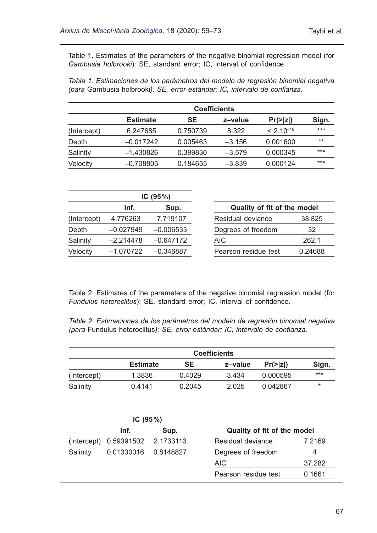Table 1. Estimates of the parameters of the negative binomial regression model (for *Gambusia holbrooki*): SE, standard error; IC, interval of confdence.

*Tabla 1. Estimaciones de los parámetros del modelo de regresión binomial negativa (para* Gambusia holbrooki*): SE, error estándar; IC, intérvalo de confanza.*

|             | <b>Coefficients</b> |          |          |                |       |  |  |  |  |  |
|-------------|---------------------|----------|----------|----------------|-------|--|--|--|--|--|
|             | <b>Estimate</b>     | SE       | z-value  | Pr(>  z )      | Sign. |  |  |  |  |  |
| (Intercept) | 6.247685            | 0.750739 | 8.322    | $< 2.10^{-16}$ | $***$ |  |  |  |  |  |
| Depth       | $-0.017242$         | 0.005463 | $-3.156$ | 0.001600       | $***$ |  |  |  |  |  |
| Salinity    | $-1.430826$         | 0.399830 | $-3.579$ | 0.000345       | $***$ |  |  |  |  |  |
| Velocity    | $-0.708805$         | 0.184655 | $-3.839$ | 0.000124       | $***$ |  |  |  |  |  |

|             |             | IC $(95\%)$ |                             |         |  |  |  |
|-------------|-------------|-------------|-----------------------------|---------|--|--|--|
|             | Inf.        | Sup.        | Quality of fit of the model |         |  |  |  |
| (Intercept) | 4.776263    | 7.719107    | Residual deviance           | 38.825  |  |  |  |
| Depth       | $-0.027949$ | $-0.006533$ | Degrees of freedom          | 32      |  |  |  |
| Salinity    | $-2.214478$ | $-0.647172$ | AIC                         | 262.1   |  |  |  |
| Velocity    | $-1.070722$ | $-0.346887$ | Pearson residue test        | 0.24688 |  |  |  |

Table 2. Estimates of the parameters of the negative binomial regression model (for *Fundulus heteroclitus*): SE, standard error; IC, interval of confdence.

*Table 2. Estimaciones de los parámetros del modelo de regresión binomial negativa (para* Fundulus heteroclitus*): SE, error estándar; IC, intérvalo de confanza.*

|             | <b>Coefficients</b> |        |         |                      |          |  |  |  |  |  |  |
|-------------|---------------------|--------|---------|----------------------|----------|--|--|--|--|--|--|
|             | <b>Estimate</b>     | SE     | z-value | $Pr(>\vert z \vert)$ | Sign.    |  |  |  |  |  |  |
| (Intercept) | 1.3836              | 0.4029 | 3.434   | 0.000595             | $***$    |  |  |  |  |  |  |
| Salinity    | 0.4141              | 0.2045 | 2.025   | 0.042867             | $^\star$ |  |  |  |  |  |  |

|             | IC $(95\%)$ |           |                             |        |  |  |  |
|-------------|-------------|-----------|-----------------------------|--------|--|--|--|
|             | Inf.        | Sup.      | Quality of fit of the model |        |  |  |  |
| (Intercept) | 0.59391502  | 2.1733113 | Residual deviance           | 7.2169 |  |  |  |
| Salinity    | 0.01330016  | 0.8148827 | Degrees of freedom          | 4      |  |  |  |
|             |             |           | AIC.                        | 37.282 |  |  |  |
|             |             |           | Pearson residue test        | 0.1661 |  |  |  |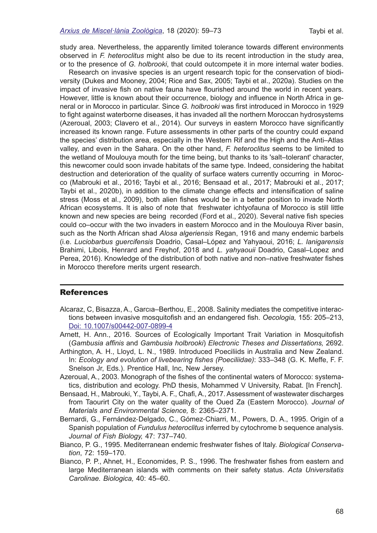study area. Nevertheless, the apparently limited tolerance towards different environments observed in *F. heteroclitus* might also be due to its recent introduction in the study area, or to the presence of *G. holbrooki*, that could outcompete it in more internal water bodies.

Research on invasive species is an urgent research topic for the conservation of biodiversity (Dukes and Mooney, 2004; Rice and Sax, 2005; Taybi et al., 2020a). Studies on the impact of invasive fsh on native fauna have fourished around the world in recent years. However, little is known about their occurrence, biology and infuence in North Africa in general or in Morocco in particular. Since *G. holbrooki* was frst introduced in Morocco in 1929 to fght against waterborne diseases, it has invaded all the northern Moroccan hydrosystems (Azeroual, 2003; Clavero et al., 2014). Our surveys in eastern Morocco have signifcantly increased its known range. Future assessments in other parts of the country could expand the species' distribution area, especially in the Western Rif and the High and the Anti–Atlas valley, and even in the Sahara. On the other hand, *F. heteroclitus* seems to be limited to the wetland of Moulouya mouth for the time being, but thanks to its 'salt–tolerant' character, this newcomer could soon invade habitats of the same type. Indeed, considering the habitat destruction and deterioration of the quality of surface waters currently occurring in Morocco (Mabrouki et al., 2016; Taybi et al., 2016; Bensaad et al., 2017; Mabrouki et al., 2017; Taybi et al., 2020b), in addition to the climate change effects and intensifcation of saline stress (Moss et al., 2009), both alien fshes would be in a better position to invade North African ecosystems. It is also of note that freshwater ichtyofauna of Morocco is still little known and new species are being recorded (Ford et al., 2020). Several native fsh species could co–occur with the two invaders in eastern Morocco and in the Moulouya River basin, such as the North African shad *Alosa algeriensis* Regan, 1916 and many endemic barbels (i.e. *Luciobarbus guercifensis* Doadrio, Casal–López and Yahyaoui, 2016; *L. lanigarensis* Brahimi, Libois, Henrard and Freyhof, 2018 and *L. yahyaouii* Doadrio, Casal–Lopez and Perea, 2016). Knowledge of the distribution of both native and non–native freshwater fshes in Morocco therefore merits urgent research.

## **References**

- Alcaraz, C, Bisazza, A., Garcıa–Berthou, E., 2008. Salinity mediates the competitive interactions between invasive mosquitofsh and an endangered fsh. *Oecologia,* 155: 205–213, [Doi: 10.1007/s00442-007-0899-4](https://link.springer.com/article/10.1007/s00442-007-0899-4)
- Arnett, H. Ann., 2016. Sources of Ecologically Important Trait Variation in Mosquitofsh (*Gambusia affnis* and *Gambusia holbrooki*) *Electronic Theses and Dissertations,* 2692.
- Arthington, A. H., Lloyd, L. N., 1989. Introduced Poeciliids in Australia and New Zealand. In: *Ecology and evolution of livebearing fshes (Poeciliidae)*: 333–348 (G. K. Meffe, F. F. Snelson Jr, Eds.). Prentice Hall, Inc, New Jersey.
- Azeroual, A., 2003. Monograph of the fshes of the continental waters of Morocco: systematics, distribution and ecology. PhD thesis, Mohammed V University, Rabat. [In French].
- Bensaad, H., Mabrouki, Y., Taybi, A. F., Chaf, A., 2017. Assessment of wastewater discharges from Taourirt City on the water quality of the Oued Za (Eastern Morocco). *Journal of Materials and Environmental Science,* 8: 2365–2371.
- Bernardi, G., Fernández‐Delgado, C., Gómez‐Chiarri, M., Powers, D. A., 1995. Origin of a Spanish population of *Fundulus heteroclitus* inferred by cytochrome b sequence analysis. *Journal of Fish Biology,* 47: 737–740.
- Bianco, P. G., 1995. Mediterranean endemic freshwater fshes of Italy. *Biological Conservation*, 72: 159–170.
- Bianco, P. P., Ahnet, H., Economides, P. S., 1996. The freshwater fshes from eastern and large Mediterranean islands with comments on their safety status. *Acta Universitatis Carolinae. Biologica,* 40: 45–60.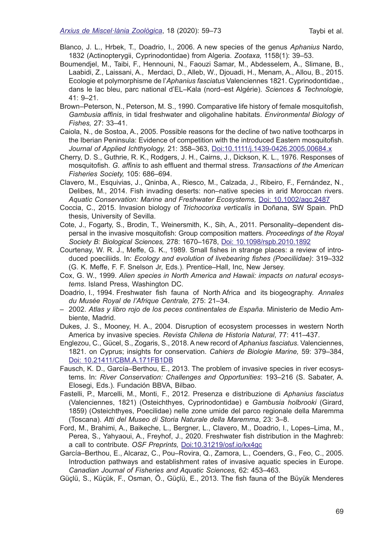Blanco, J. L., Hrbek, T., Doadrio, I., 2006. A new species of the genus *Aphanius* Nardo, 1832 (Actinopterygii, Cyprinodontidae) from Algeria. *Zootaxa,* 1158(1): 39–53.

- Boumendjel, M., Taibi, F., Hennouni, N., Faouzi Samar, M., Abdesselem, A., Slimane, B., Laabidi, Z., Laissani, A., Merdaci, D., Alleb, W., Djouadi, H., Menam, A., Allou, B., 2015. Ecologie et polymorphisme de l'*Aphanius fasciatus* Valenciennes 1821. Cyprinodontidae., dans le lac bleu, parc national d'EL–Kala (nord–est Algérie). *Sciences & Technologie,*  41: 9–21.
- Brown–Peterson, N., Peterson, M. S., 1990. Comparative life history of female mosquitofsh, *Gambusia affnis*, in tidal freshwater and oligohaline habitats. *Environmental Biology of Fishes,* 27: 33–41.

Caiola, N., de Sostoa, A., 2005. Possible reasons for the decline of two native toothcarps in the Iberian Peninsula: Evidence of competition with the introduced Eastern mosquitofsh. *Journal of Applied Ichthyology,* 21: 358–363, [Doi:10.1111/j.1439-0426.2005.00684.x](https://onlinelibrary.wiley.com/doi/abs/10.1111/j.1439-0426.2005.00684.x)

Cherry, D. S., Guthrie, R. K., Rodgers, J. H., Cairns, J., Dickson, K. L., 1976. Responses of mosquitofsh. *G. affnis* to ash effuent and thermal stress. *Transactions of the American Fisheries Society,* 105: 686–694.

Clavero, M., Esquivias, J., Qninba, A., Riesco, M., Calzada, J., Ribeiro, F., Fernández, N., Delibes, M., 2014. Fish invading deserts: non–native species in arid Moroccan rivers. *Aquatic Conservation: Marine and Freshwater Ecosystems,* [Doi: 10.1002/aqc.2487](https://onlinelibrary.wiley.com/doi/abs/10.1002/aqc.2487)

- Coccia, C., 2015. Invasion biology of *Trichocorixa verticalis* in Doñana, SW Spain. PhD thesis, University of Sevilla.
- Cote, J., Fogarty, S., Brodin, T., Weinersmith, K., Sih, A., 2011. Personality–dependent dispersal in the invasive mosquitofsh: Group composition matters. *Proceedings of the Royal Society B: Biological Sciences,* 278: 1670–1678, [Doi: 10.1098/rspb.2010.1892](https://royalsocietypublishing.org/doi/10.1098/rspb.2010.1892)
- Courtenay, W. R. J., Meffe, G. K., 1989. Small fshes in strange places: a review of introduced poeciliids. In: *Ecology and evolution of livebearing fshes (Poeciliidae)*: 319–332 (G. K. Meffe, F. F. Snelson Jr, Eds.). Prentice–Hall, Inc, New Jersey.
- Cox, G. W., 1999. *Alien species in North America and Hawaii: impacts on natural ecosystems*. Island Press, Washington DC.
- Doadrio, I., 1994. Freshwater fsh fauna of North Africa and its biogeography. *Annales du Musée Royal de l'Afrique Centrale,* 275: 21–34.
- 2002. *Atlas y libro rojo de los peces continentales de España*. Ministerio de Medio Ambiente, Madrid.
- Dukes, J. S., Mooney, H. A., 2004. Disruption of ecosystem processes in western North America by invasive species. *Revista Chilena de Historia Natural*, 77: 411–437.
- Englezou, C., Gücel, S., Zogaris, S., 2018. A new record of *Aphanius fasciatus*. Valenciennes, 1821. on Cyprus; insights for conservation. *Cahiers de Biologie Marine,* 59: 379–384, [Doi: 10.21411/CBM.A.171FB1DB](https://www.researchgate.net/publication/326393594_A_new_record_of_Aphanius_fasciatus_Valenciennes_1821_on_Cyprus_insights_for_conservation)
- Fausch, K. D., García–Berthou, E., 2013. The problem of invasive species in river ecosystems. In: *River Conservation: Challenges and Opportunities*: 193–216 (S. Sabater, A. Elosegi, Eds.). Fundación BBVA, Bilbao.
- Fastelli, P., Marcelli, M., Monti, F., 2012. Presenza e distribuzione di *Aphanius fasciatus* (Valenciennes, 1821) (Osteichthyes, Cyprinodontidae) e *Gambusia holbrooki* (Girard, 1859) (Osteichthyes, Poecilidae) nelle zone umide del parco regionale della Maremma (Toscana). *Atti del Museo di Storia Naturale della Maremma*, 23: 3–8.
- Ford, M., Brahimi, A., Baikeche, L., Bergner, L., Clavero, M., Doadrio, I., Lopes–Lima, M., Perea, S., Yahyaoui, A., Freyhof, J., 2020. Freshwater fish distribution in the Maghreb: a call to contribute. *OSF Preprints,* [Doi:10.31219/osf.io/kx4gc](https://osf.io/kx4gc)
- García–Berthou, E., Alcaraz, C., Pou–Rovira, Q., Zamora, L., Coenders, G., Feo, C., 2005. Introduction pathways and establishment rates of invasive aquatic species in Europe. *Canadian Journal of Fisheries and Aquatic Sciences,* 62: 453–463.
- Güçlü, S., Küçük, F., Osman, Ö., Güçlü, E., 2013. The fsh fauna of the Büyük Menderes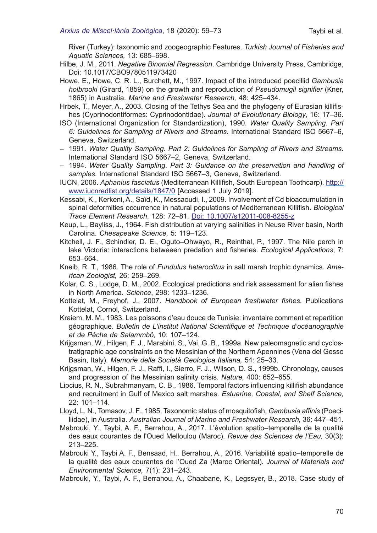River (Turkey): taxonomic and zoogeographic Features. *Turkish Journal of Fisheries and Aquatic Sciences,* 13: 685–698.

- Hilbe, J. M., 2011. *Negative Binomial Regression*. Cambridge University Press, Cambridge, Doi: 10.1017/CBO9780511973420
- Howe, E., Howe, C. R. L., Burchett, M., 1997. Impact of the introduced poeciliid *Gambusia holbrooki* (Girard, 1859) on the growth and reproduction of *Pseudomugil signifer* (Kner, 1865) in Australia. *Marine and Freshwater Research,* 48: 425–434.
- Hrbek, T., Meyer, A., 2003. Closing of the Tethys Sea and the phylogeny of Eurasian killifshes (Cyprinodontiformes: Cyprinodontidae). *Journal of Evolutionary Biology*, 16: 17–36.
- ISO (International Organization for Standardization), 1990. *Water Quality Sampling*. *Part 6: Guidelines for Sampling of Rivers and Streams*. International Standard ISO 5667–6, Geneva, Switzerland.
- 1991. *Water Quality Sampling*. *Part 2: Guidelines for Sampling of Rivers and Streams*. International Standard ISO 5667–2, Geneva, Switzerland.
- 1994. *Water Quality Sampling*. *Part 3: Guidance on the preservation and handling of samples*. International Standard ISO 5667–3, Geneva, Switzerland.
- IUCN, 2006. *Aphanius fasciatus* (Mediterranean Killifsh, South European Toothcarp). [http://](http://www.iucnredlist.org/details/1847/0) [www.iucnredlist.org/details/1847/0](http://www.iucnredlist.org/details/1847/0) [Accessed 1 July 2019].
- Kessabi, K., Kerkeni, A., Saïd, K., Messaoudi, I., 2009. Involvement of Cd bioaccumulation in spinal deformities occurrence in natural populations of Mediterranean Killifsh. *Biological Trace Element Research*, 128: 72–81, [Doi: 10.1007/s12011-008-8255-z](https://s3.amazonaws.com/academia.edu.documents/54492213/Involvement_of_cd_bioaccumulation_in_spi20170921-18002-kfe6ku.pdf?response-content-disposition=inline%3B%20filename%3DInvolvement_of_Cd_Bioaccumulation_in_Spi.pdf&X-Amz-Algorithm=AWS4-HMAC-SHA256&X-Amz-Credential=ASIATUSBJ6BAPODEWB7S%2F20200513%2Fus-east-1%2Fs3%2Faws4_request&X-Amz-Date=20200513T170708Z&X-Amz-Expires=3600&X-Amz-SignedHeaders=host&X-Amz-Security-Token=IQoJb3JpZ2luX2VjEBgaCXVzLWVhc3QtMSJIMEYCIQDbhDyfFcKOSvu%2Ft1SN2cqm8pSp7qoEH5Nfsub2fScfPgIhAJ1CGrGpPwbWOQa0SXC3OtSX8fyV%2Fh%2BvXHstkv%2BnUqdCKrQDCGEQABoMMjUwMzE4ODExMjAwIgyKSCcCQ0MjZMoj7KQqkQNIlJYVvc8jIfEyig80Mvx9F3CAi%2FrCgdRvLiKRaPJKpqrGIIk8uB55V2J75Lc0HVi8pgo5DcYqDwplV8ZsutQxaB8Ht9VJMQTmFQk2C4iyEwWTNGoFkjm%2FeUA1m8VieNfWdpGwuSioNAW0Gsk0%2BAnF0MhMY7x7y73XS3pSMjBsKn7vkAHTFsm%2FnVRKuD8rzVY9wBc%2FpaiewZdafDNwh8KkG5oGiEGBrtfaFGW%2FpA2qxNA9s%2FKfaFRFVrFkQdBhAStXrobY309valy8mpmdeX%2Bh8cf40XgAfBZu6XuWpEyW9D6%2BD9Zg7upYfclaWlFJh0u%2FjZquGs%2FPOcRA%2BH3EDi8oMz0kXXsG4n2quN5C8D%2Ft3bcFGGKnQSIgqTTgQHobICXZVcXL6e5iDAdl1McRzOaEt3zGQvfPkjgdnXqc7hM6Thn2qkkYiOPWmHtfRAHYfPtNTLe0yfv%2BW6C1lZ9k6mWiNKd0qgfLBZHI6WUtE99Vi56Yh8VPTFWW3gZZK4zGFPgvmqt%2BFaQoRkEFBMrlCdaJdjDMs%2FD1BTrqAZk7Jy85J0rnnECCJaVUekzzvxj8O5oCUlMP7HcUR1uM%2B1QMVB3Qo%2Fs8Yd5HtPi9FX97DU61FxJC%2F2yd8k6SB0skUdwAfaGiGk8MO4n0N%2FjLItBquw2UIpsbZSgw31nSmnZAG0OkXAIzwGaF%2BnM%2B9Qt%2B8mlu%2F1eSJXyw2tO9dPJhKxyS%2BVChSGpNOA78%2BQ%2FBkNVmBxjYmaniPZpBkZ1VdJWEVLvnBjiYe598y3BsfvVVxeZ%2F5h9s1pSyZHQIGUjbj%2ByMNXNyrCA%2FYz4mwQVvFcnsI7ekfHsejltCowk9Lqc52ff9bSGnkR%2B6%2Fw%3D%3D&X-Amz-Signature=47b6fc844c1971a448b03c68b1180e106228d1175b2ab9857c84d27c4bd5c4c0)
- Keup, L., Bayliss, J., 1964. Fish distribution at varying salinities in Neuse River basin, North Carolina. *Chesapeake Science,* 5: 119–123.
- Kitchell, J. F., Schindler, D. E., Oguto–Ohwayo, R., Reinthal, P., 1997. The Nile perch in lake Victoria: interactions betweeen predation and fsheries. *Ecological Applications*, 7: 653–664.
- Kneib, R. T., 1986. The role of *Fundulus heteroclitus* in salt marsh trophic dynamics. *American Zoologist,* 26: 259–269.
- Kolar, C. S., Lodge, D. M., 2002. Ecological predictions and risk assessment for alien fshes in North America. *Science*, 298: 1233–1236.
- Kottelat, M., Freyhof, J., 2007. *Handbook of European freshwater fshes*. Publications Kottelat, Cornol, Switzerland.
- Kraiem, M. M., 1983. Les poissons d'eau douce de Tunisie: inventaire comment et repartition géographique. *Bulletin de L'institut National Scientifque et Technique d'océanographie et de Pêche de Salammbô,* 10: 107–124.
- Krijgsman, W., Hilgen, F. J., Marabini, S., Vai, G. B., 1999a. New paleomagnetic and cyclostratigraphic age constraints on the Messinian of the Northern Apennines (Vena del Gesso Basin, Italy). *Memorie della Società Geologica Italiana,* 54: 25–33.
- Krijgsman, W., Hilgen, F. J., Raff, I., Sierro, F. J., Wilson, D. S., 1999b. Chronology, causes and progression of the Messinian salinity crisis. *Nature,* 400: 652–655.
- Lipcius, R. N., Subrahmanyam, C. B., 1986. Temporal factors infuencing killifsh abundance and recruitment in Gulf of Mexico salt marshes. *Estuarine, Coastal, and Shelf Science,*  22: 101–114.
- Lloyd, L. N., Tomasov, J. F., 1985. Taxonomic status of mosquitofsh, *Gambusia affnis* (Poeciliidae), in Australia. *Australian Journal of Marine and Freshwater Research,* 36: 447–451.
- Mabrouki, Y., Taybi, A. F., Berrahou, A., 2017. L'évolution spatio–temporelle de la qualité des eaux courantes de l'Oued Melloulou (Maroc). *Revue des Sciences de l'Eau,* 30(3): 213–225.
- Mabrouki Y., Taybi A. F., Bensaad, H., Berrahou, A., 2016. Variabilité spatio–temporelle de la qualité des eaux courantes de l'Oued Za (Maroc Oriental). *Journal of Materials and Environmental Science,* 7(1): 231–243.

Mabrouki, Y., Taybi, A. F., Berrahou, A., Chaabane, K., Legssyer, B., 2018. Case study of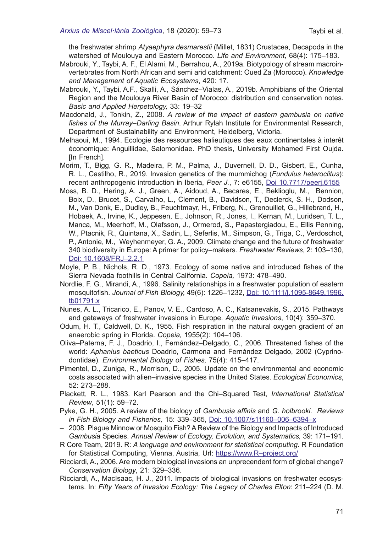the freshwater shrimp *Atyaephyra desmarestii* (Millet, 1831) Crustacea, Decapoda in the watershed of Moulouya and Eastern Morocco. *Life and Environment,* 68(4): 175–183.

- Mabrouki, Y., Taybi, A. F., El Alami, M., Berrahou, A., 2019a. Biotypology of stream macroinvertebrates from North African and semi arid catchment: Oued Za (Morocco). *Knowledge and Management of Aquatic Ecosystems*, 420: 17.
- Mabrouki, Y., Taybi, A.F., Skalli, A., Sánchez–Vialas, A., 2019b. Amphibians of the Oriental Region and the Moulouya River Basin of Morocco: distribution and conservation notes. *Basic and Applied Herpetology,* 33: 19–32
- Macdonald, J., Tonkin, Z., 2008. *A review of the impact of eastern gambusia on native fshes of the Murray–Darling Basin*. Arthur Rylah Institute for Environmental Research, Department of Sustainability and Environment, Heidelberg, Victoria.
- Melhaoui, M., 1994. Ecologie des ressources halieutiques des eaux continentales à interêt économique: Anguillidae, Salomonidae. PhD thesis, University Mohamed First Oujda. [In French].
- Morim, T., Bigg, G. R., Madeira, P. M., Palma, J., Duvernell, D. D., Gisbert, E., Cunha, R. L., Castilho, R., 2019. Invasion genetics of the mummichog (*Fundulus heteroclitus*): recent anthropogenic introduction in Iberia, *Peer J.*, 7: e6155, [Doi 10.7717/peerj.6155](https://peerj.com/articles/6155/)
- Moss, B. D., Hering, A. J., Green, A., Aidoud, A., Becares, E., Beklioglu, M., Bennion, Boix, D., Brucet, S., Carvalho, L., Clement, B., Davidson, T., Declerck, S. H., Dodson, M., Van Donk, E., Dudley, B., Feuchtmayr, H., Friberg, N., Grenouillet, G., Hillebrand, H., Hobaek, A., Irvine, K., Jeppesen, E., Johnson, R., Jones, I., Kernan, M., Luridsen, T. L., Manca, M., Meerhoff, M., Olafsson, J., Ormerod, S., Papastergiadou, E., Ellis Penning, W., Ptacnik, R., Quintana, X., Sadin, L., Seferlis, M., Simpson, G., Triga, C., Verdoschot, P., Antonie, M., Weyhenmeyer, G. A., 2009. Climate change and the future of freshwater 340 biodiversity in Europe: A primer for policy–makers. *Freshwater Reviews*, 2: 103–130, [Doi: 10.1608/FRJ–2.2.1](https://bioone.org/journals/Freshwater-Reviews/volume-2/issue-2/FRJ-2.2.1/Climate-Change-and-the-Future-of-Freshwater-Biodiversity-in-Europe/10.1608/FRJ-2.2.1.short)
- Moyle, P. B., Nichols, R. D., 1973. Ecology of some native and introduced fshes of the Sierra Nevada foothills in Central California*. Copeia,* 1973: 478–490.
- Nordlie, F. G., Mirandi, A., 1996. Salinity relationships in a freshwater population of eastern mosquitofsh. *Journal of Fish Biology,* 49(6): 1226–1232, Doi: 10.1111/j.1095-8649.1996. tb01791.x
- Nunes, A. L., Tricarico, E., Panov, V. E., Cardoso, A. C., Katsanevakis, S., 2015. Pathways and gateways of freshwater invasions in Europe. *Aquatic Invasions*, 10(4): 359–370.
- Odum, H. T., Caldwell, D. K., 1955. Fish respiration in the natural oxygen gradient of an anaerobic spring in Florida. *Copeia,* 1955(2): 104–106.
- Oliva–Paterna, F. J., Doadrio, I., Fernández–Delgado, C., 2006. Threatened fshes of the world: *Aphanius baeticus* Doadrio, Carmona and Fernández Delgado, 2002 (Cyprinodontidae). *Environmental Biology of Fishes,* 75(4): 415–417.
- Pimentel, D., Zuniga, R., Morrison, D., 2005. Update on the environmental and economic costs associated with alien–invasive species in the United States. *Ecological Economics*, 52: 273–288.
- Plackett, R. L., 1983. Karl Pearson and the Chi–Squared Test, *International Statistical Review*, 51(1): 59–72.
- Pyke, G. H., 2005. A review of the biology of *Gambusia affnis* and *G. holbrooki. Reviews in Fish Biology and Fisheries,* 15: 339–365, [Doi: 10.1007/s11160–006–6394–x](https://link.springer.com/article/10.1007/s11160-006-6394-x)
- 2008. Plague Minnow or Mosquito Fish? A Review of the Biology and Impacts of Introduced *Gambusia* Species. *Annual Review of Ecology, Evolution, and Systematics,* 39: 171–191.
- R Core Team, 2019. R: *A language and environment for statistical computing*. R Foundation for Statistical Computing, Vienna, Austria, Url: https://www.R-project.org/
- Ricciardi, A., 2006. Are modern biological invasions an unprecendent form of global change? *Conservation Biology*, 21: 329–336.
- Ricciardi, A., MacIsaac, H. J., 2011. Impacts of biological invasions on freshwater ecosystems. In: *Fifty Years of Invasion Ecology: The Legacy of Charles Elton*: 211–224 (D. M.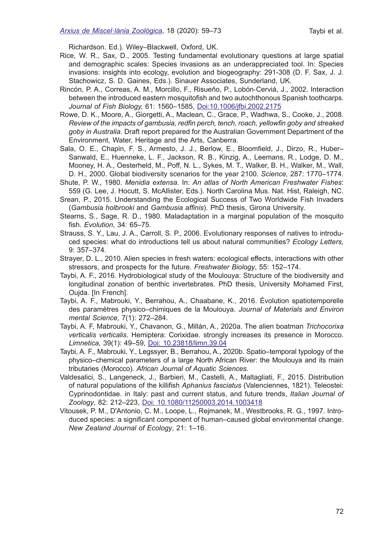Richardson. Ed.). Wiley–Blackwell, Oxford, UK.

- Rice, W. R., Sax, D., 2005. Testing fundamental evolutionary questions at large spatial and demographic scales: Species invasions as an underappreciated tool. In: Species invasions: insights into ecology, evolution and biogeography: 291-308 (D. F. Sax, J. J. Stachowicz, S. D. Gaines, Eds.). Sinauer Associates, Sunderland, UK.
- Rincón, P. A., Correas, A. M., Morcillo, F., Risueño, P., Lobón‐Cerviá, J., 2002. Interaction between the introduced eastern mosquitofsh and two autochthonous Spanish toothcarps. *Journal of Fish Biology,* 61: 1560–1585, [Doi:10.1006/jfbi.2002.2175](https://onlinelibrary.wiley.com/doi/abs/10.1111/j.1095-8649.2002.tb02498.x)
- Rowe, D. K., Moore, A., Giorgetti, A., Maclean, C., Grace, P., Wadhwa, S., Cooke, J., 2008. *Review of the impacts of gambusia, redfn perch, tench, roach, yellowfn goby and streaked goby in Australia*. Draft report prepared for the Australian Government Department of the Environment, Water, Heritage and the Arts, Canberra.
- Sala, O. E., Chapin, F. S., Armesto, J. J., Berlow, E., Bloomfeld, J., Dirzo, R., Huber– Sanwald, E., Huenneke, L. F., Jackson, R. B., Kinzig, A., Leemans, R., Lodge, D. M., Mooney, H. A., Oesterheld, M., Poff, N. L., Sykes, M. T., Walker, B. H., Walker, M., Wall, D. H., 2000. Global biodiversity scenarios for the year 2100. *Science,* 287: 1770–1774.
- Shute, P. W., 1980. *Menidia extensa*. In: *An atlas of North American Freshwater Fishes*: 559 (G. Lee, J. Hocutt, S. McAllister, Eds.). North Carolina Mus. Nat. Hist, Raleigh, NC.
- Srean, P., 2015. Understanding the Ecological Success of Two Worldwide Fish Invaders (*Gambusia holbrooki* and *Gambusia affnis*). PhD thesis, Girona University.
- Stearns, S., Sage, R. D., 1980. Maladaptation in a marginal population of the mosquito fsh. *Evolution*, 34: 65–75.
- Strauss, S. Y., Lau, J. A., Carroll, S. P., 2006. Evolutionary responses of natives to introduced species: what do introductions tell us about natural communities? *Ecology Letters,*  9: 357–374.
- Strayer, D. L., 2010. Alien species in fresh waters: ecological effects, interactions with other stressors, and prospects for the future. *Freshwater Biology*, 55: 152–174.
- Taybi, A. F., 2016. Hydrobiological study of the Moulouya: Structure of the biodiversity and longitudinal zonation of benthic invertebrates. PhD thesis, University Mohamed First, Oujda. [In French].
- Taybi, A. F., Mabrouki, Y., Berrahou, A., Chaabane, K., 2016. Évolution spatiotemporelle des paramètres physico–chimiques de la Moulouya. *Journal of Materials and Environ mental Science,* 7(1): 272–284.
- Taybi, A. F, Mabrouki, Y., Chavanon, G., Millán, A., 2020a. The alien boatman *Trichocorixa verticalis verticalis*. Hemiptera: Corixidae. strongly increases its presence in Morocco. *Limnetica,* 39(1): 49–59, [Doi: 10.23818/limn.39.04](http://www.limnetica.net/es/alien-boatman-trichocorixa-verticalis-verticalis-hemiptera-corixidae-expanding-morocco)
- Taybi, A. F., Mabrouki, Y., Legssyer, B., Berrahou, A., 2020b. Spatio–temporal typology of the physico–chemical parameters of a large North African River: the Moulouya and its main tributaries (Morocco). *African Journal of Aquatic Sciences.*
- Valdesalici, S., Langeneck, J., Barbieri, M., Castelli, A., Maltagliati, F., 2015. Distribution of natural populations of the killifsh *Aphanius fasciatus* (Valenciennes, 1821). Teleostei: Cyprinodontidae. in Italy: past and current status, and future trends, *Italian Journal of Zoology*, 82: 212–223, [Doi: 10.1080/11250003.2014.1003418](https://www.tandfonline.com/doi/full/10.1080/11250003.2014.1003418)
- Vitousek, P. M., D'Antonio, C. M., Loope, L., Rejmanek, M., Westbrooks, R. G., 1997. Introduced species: a signifcant component of human–caused global environmental change. *New Zealand Journal of Ecology*, 21: 1–16.